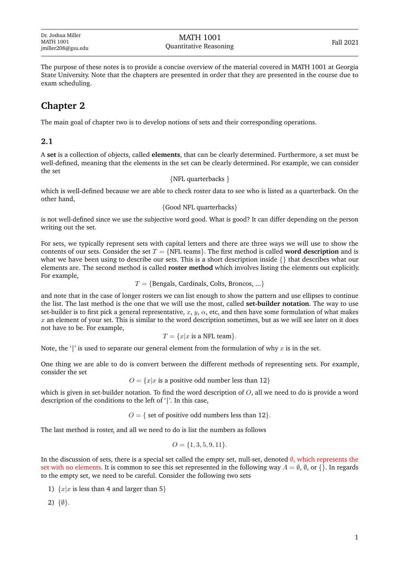Dr. Joshua Miller MATH 1001 jmiller208@gsu.edu

MATH 1001 Quantitative Reasoning Fall 2021

The purpose of these notes is to provide a concise overview of the material covered in MATH 1001 at Georgia State University. Note that the chapters are presented in order that they are presented in the course due to exam scheduling.

# **Chapter 2**

The main goal of chapter two is to develop notions of sets and their corresponding operations.

## **2.1**

A **set** is a collection of objects, called **elements**, that can be clearly determined. Furthermore, a set must be well-defined, meaning that the elements in the set can be clearly determined. For example, we can consider the set

{NFL quarterbacks }

which is well-defined because we are able to check roster data to see who is listed as a quarterback. On the other hand,

#### {Good NFL quarterbacks}

is not well-defined since we use the subjective word good. What is good? It can differ depending on the person writing out the set.

For sets, we typically represent sets with capital letters and there are three ways we will use to show the contents of our sets. Consider the set  $T = \{NFL$  teams $\}$ . The first method is called **word description** and is what we have been using to describe our sets. This is a short description inside  $\{\}$  that describes what our elements are. The second method is called **roster method** which involves listing the elements out explicitly. For example,

 $T = {Bengals, Cardinals, Colts, Broncos, ...}$ 

and note that in the case of longer rosters we can list enough to show the pattern and use ellipses to continue the list. The last method is the one that we will use the most, called **set-builder notation**. The way to use set-builder is to first pick a general representative,  $x, y, \alpha$ , etc, and then have some formulation of what makes  $x$  an element of your set. This is similar to the word description sometimes, but as we will see later on it does not have to be. For example,

$$
T = \{x | x \text{ is a NFL team}\}.
$$

Note, the '|' is used to separate our general element from the formulation of why  $x$  is in the set.

One thing we are able to do is convert between the different methods of representing sets. For example, consider the set

 $O = \{x | x$  is a positive odd number less than 12}

which is given in set-builder notation. To find the word description of  $O$ , all we need to do is provide a word description of the conditions to the left of '|'. In this case,

 $O = \{$  set of positive odd numbers less than 12 $\}.$ 

The last method is roster, and all we need to do is list the numbers as follows

$$
O = \{1, 3, 5, 9, 11\}.
$$

In the discussion of sets, there is a special set called the empty set, null-set, denoted  $\emptyset$ , which represents the set with no elements. It is common to see this set represented in the following way  $A = \emptyset$ ,  $\emptyset$ , or  $\{\}$ . In regards to the empty set, we need to be careful. Consider the following two sets

1)  $\{x|x \text{ is less than 4 and larger than 5}\}\$ 

2)  $\{\emptyset\}.$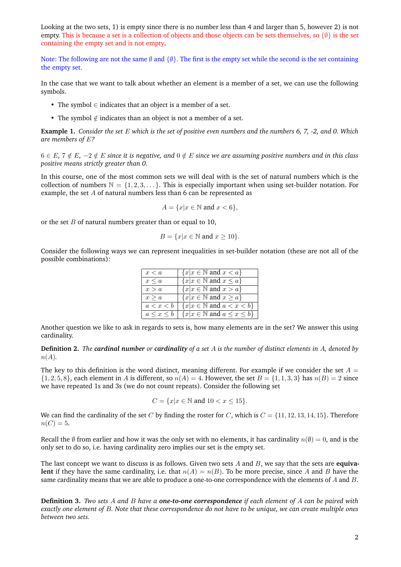Looking at the two sets, 1) is empty since there is no number less than 4 and larger than 5, however 2) is not empty. This is because a set is a collection of objects and those objects can be sets themselves, so  $\{\emptyset\}$  is the set containing the empty set and is not empty.

Note: The following are not the same  $\emptyset$  and  $\{\emptyset\}$ . The first is the empty set while the second is the set containing the empty set.

In the case that we want to talk about whether an element is a member of a set, we can use the following symbols.

- The symbol  $\in$  indicates that an object is a member of a set.
- The symbol  $\notin$  indicates than an object is not a member of a set.

**Example 1.** *Consider the set* E *which is the set of positive even numbers and the numbers 6, 7, -2, and 0. Which are members of* E*?*

6 ∈ E*,* 7 ∈/ E*,* −2 ∈/ E *since it is negative, and* 0 ∈/ E *since we are assuming positive numbers and in this class positive means strictly greater than 0.*

In this course, one of the most common sets we will deal with is the set of natural numbers which is the collection of numbers  $\mathbb{N} = \{1, 2, 3, \dots\}$ . This is especially important when using set-builder notation. For example, the set A of natural numbers less than 6 can be represented as

$$
A = \{x | x \in \mathbb{N} \text{ and } x < 6\},
$$

or the set  $B$  of natural numbers greater than or equal to 10,

$$
B = \{x | x \in \mathbb{N} \text{ and } x \ge 10\}.
$$

Consider the following ways we can represent inequalities in set-builder notation (these are not all of the possible combinations):

| x < a             | ${x x \in \mathbb{N} \text{ and } x < a}$           |
|-------------------|-----------------------------------------------------|
| $x \leq a$        | ${x x \in \mathbb{N} \text{ and } x \leq a}$        |
| x > a             | ${x x \in \mathbb{N} \text{ and } x > a}$           |
| x > a             | ${x x \in \mathbb{N} \text{ and } x \geq a}$        |
| a < x < b         | ${x x \in \mathbb{N} \text{ and } a < x < b}$       |
| $a \leq x \leq b$ | ${x x \in \mathbb{N} \text{ and } a \leq x \leq b}$ |

Another question we like to ask in regards to sets is, how many elements are in the set? We answer this using cardinality.

**Definition 2.** *The cardinal number or cardinality of a set* A *is the number of distinct elements in* A*, denoted by*  $n(A)$ .

The key to this definition is the word distinct, meaning different. For example if we consider the set  $A =$  $\{1, 2, 5, 8\}$ , each element in A is different, so  $n(A) = 4$ . However, the set  $B = \{1, 1, 3, 3\}$  has  $n(B) = 2$  since we have repeated 1s and 3s (we do not count repeats). Consider the following set

$$
C = \{x | x \in \mathbb{N} \text{ and } 10 < x \le 15\}.
$$

We can find the cardinality of the set C by finding the roster for C, which is  $C = \{11, 12, 13, 14, 15\}$ . Therefore  $n(C) = 5.$ 

Recall the Ø from earlier and how it was the only set with no elements, it has cardinality  $n(\emptyset) = 0$ , and is the only set to do so, i.e. having cardinality zero implies our set is the empty set.

The last concept we want to discuss is as follows. Given two sets A and B, we say that the sets are **equivalent** if they have the same cardinality, i.e. that  $n(A) = n(B)$ . To be more precise, since A and B have the same cardinality means that we are able to produce a one-to-one correspondence with the elements of A and B.

**Definition 3.** *Two sets* A *and* B *have a one-to-one correspondence if each element of* A *can be paired with exactly one element of* B*. Note that these correspondence do not have to be unique, we can create multiple ones between two sets.*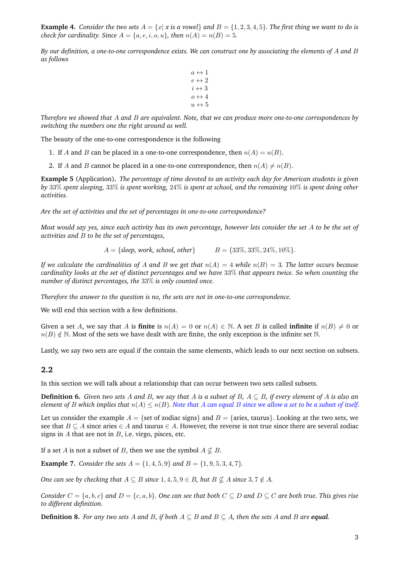**Example 4.** *Consider the two sets*  $A = \{x | x \text{ is a vowel} \}$  *and*  $B = \{1, 2, 3, 4, 5\}$ *. The first thing we want to do is check for cardinality. Since*  $A = \{a, e, i, o, u\}$ *, then*  $n(A) = n(B) = 5$ *.* 

*By our definition, a one-to-one correspondence exists. We can construct one by associating the elements of* A *and* B *as follows*

> $a \leftrightarrow 1$  $e\leftrightarrow 2$  $i \leftrightarrow 3$  $o \leftrightarrow 4$  $u \leftrightarrow 5$

*Therefore we showed that* A *and* B *are equivalent. Note, that we can produce more one-to-one correspondences by switching the numbers one the right around as well.*

The beauty of the one-to-one correspondence is the following

- 1. If A and B can be placed in a one-to-one correspondence, then  $n(A) = n(B)$ .
- 2. If A and B cannot be placed in a one-to-one correspondence, then  $n(A) \neq n(B)$ .

**Example 5** (Application)**.** *The percentage of time devoted to an activity each day for American students is given by* 33% *spent sleeping,* 33% *is spent working,* 24% *is spent at school, and the remaining* 10% *is spent doing other activities.*

*Are the set of activities and the set of percentages in one-to-one correspondence?*

*Most would say yes, since each activity has its own percentage, however lets consider the set* A *to be the set of activities and* B *to be the set of percentages,*

 $A = \{sleep, work, school, other\}$   $B = \{33\%, 33\%, 24\%, 10\%\}.$ 

*If we calculate the cardinalities of* A and B we get that  $n(A) = 4$  while  $n(B) = 3$ . The latter occurs because *cardinality looks at the set of distinct percentages and we have* 33% *that appears twice. So when counting the number of distinct percentages, the* 33% *is only counted once.*

*Therefore the answer to the question is no, the sets are not in one-to-one correspondence.*

We will end this section with a few definitions.

Given a set A, we say that A is **finite** is  $n(A) = 0$  or  $n(A) \in \mathbb{N}$ . A set B is called **infinite** if  $n(B) \neq 0$  or  $n(B) \notin \mathbb{N}$ . Most of the sets we have dealt with are finite, the only exception is the infinite set  $\mathbb{N}$ .

Lastly, we say two sets are equal if the contain the same elements, which leads to our next section on subsets.

### **2.2**

In this section we will talk about a relationship that can occur between two sets called subsets.

**Definition 6.** *Given two sets* A and B, we say that A is a subset of B,  $A \subseteq B$ , if every element of A is also an *element of B which implies that*  $n(A) \leq n(B)$ *. Note that A can equal B since we allow a set to be a subset of itself.* 

Let us consider the example  $A = \{$ set of zodiac signs $\}$  and  $B = \{$ aries, taurus $\}$ . Looking at the two sets, we see that  $B \subseteq A$  since aries  $\in A$  and taurus  $\in A$ . However, the reverse is not true since there are several zodiac signs in  $A$  that are not in  $B$ , i.e. virgo, pisces, etc.

If a set A is not a subset of B, then we use the symbol  $A \nsubseteq B$ .

**Example 7.** *Consider the sets*  $A = \{1, 4, 5, 9\}$  *and*  $B = \{1, 9, 5, 3, 4, 7\}$ *.* 

*One can see by checking that*  $A \subseteq B$  *since*  $1, 4, 5, 9 \in B$ *, but*  $B \nsubseteq A$  *since*  $3, 7 \notin A$ *.* 

*Consider*  $C = \{a, b, c\}$  *and*  $D = \{c, a, b\}$ *. One can see that both*  $C \subseteq D$  *and*  $D \subseteq C$  *are both true. This gives rise to different definition.*

**Definition 8.** *For any two sets* A *and* B, *if both*  $A \subseteq B$  *and*  $B \subseteq A$ *, then the sets* A *and* B *are equal.*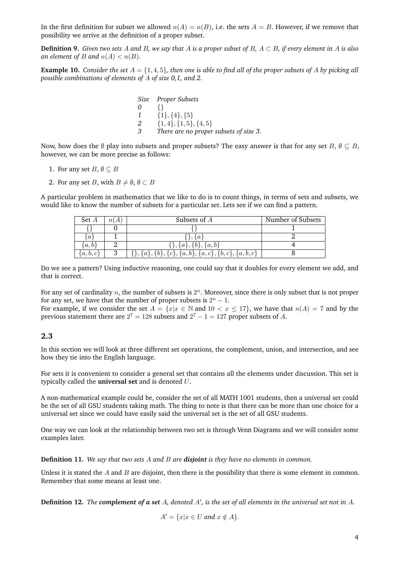In the first definition for subset we allowed  $n(A) = n(B)$ , i.e. the sets  $A = B$ . However, if we remove that possibility we arrive at the definition of a proper subset.

**Definition 9.** *Given two sets* A *and* B*, we say that* A *is a proper subset of* B*,* A ⊂ B*, if every element in* A *is also an element of B and*  $n(A) < n(B)$ .

**Example 10.** *Consider the set*  $A = \{1, 4, 5\}$ *, then one is able to find all of the proper subsets of* A *by picking all possible combinations of elements of* A *of size 0,1, and 2.*

> *Size Proper Subsets*  $\begin{matrix} 0 & & {\end{matrix}$ <br>  $\begin{matrix} 1 & & {\end{matrix}$  $\begin{array}{cc} 1 & \{1\}, \{4\}, \{5\} \\ 2 & \{1,4\}, \{1,5\} \end{array}$  ${1, 4}, {1, 5}, {4, 5}$ *3 There are no proper subsets of size 3.*

Now, how does the  $\emptyset$  play into subsets and proper subsets? The easy answer is that for any set  $B, \emptyset \subseteq B$ , however, we can be more precise as follows:

- 1. For any set  $B, \emptyset \subset B$
- 2. For any set B, with  $B \neq \emptyset$ ,  $\emptyset \subset B$

A particular problem in mathematics that we like to do is to count things, in terms of sets and subsets, we would like to know the number of subsets for a particular set. Lets see if we can find a pattern.

| Set A         | n(A) | Subsets of A                                                      | Number of Subsets |
|---------------|------|-------------------------------------------------------------------|-------------------|
|               |      |                                                                   |                   |
| a             |      | łα                                                                |                   |
| $\{a, b\}$    |      | $\{\}, \{a\}, \{b\}, \{a,b\}$                                     |                   |
| $\{a, b, c\}$ | ົ    | $\{\}, \{a\}, \{b\}, \{c\}, \{a,b\}, \{a,c\}, \{b,c\}, \{a,b,c\}$ |                   |

Do we see a pattern? Using inductive reasoning, one could say that it doubles for every element we add, and that is correct.

For any set of cardinality n, the number of subsets is  $2^n$ . Moreover, since there is only subset that is not proper for any set, we have that the number of proper subsets is  $2^n - 1$ .

For example, if we consider the set  $A = \{x | x \in \mathbb{N} \text{ and } 10 < x < 17\}$ , we have that  $n(A) = 7$  and by the previous statement there are  $2^7 = 128$  subsets and  $2^7 - 1 = 127$  proper subsets of A.

## **2.3**

In this section we will look at three different set operations, the complement, union, and intersection, and see how they tie into the English language.

For sets it is convenient to consider a general set that contains all the elements under discussion. This set is typically called the **universal set** and is denoted U.

A non-mathematical example could be, consider the set of all MATH 1001 students, then a universal set could be the set of all GSU students taking math. The thing to note is that there can be more than one choice for a universal set since we could have easily said the universal set is the set of all GSU students.

One way we can look at the relationship between two set is through Venn Diagrams and we will consider some examples later.

**Definition 11.** *We say that two sets* A *and* B *are disjoint is they have no elements in common.*

Unless it is stated the  $A$  and  $B$  are disjoint, then there is the possibility that there is some element in common. Remember that some means at least one.

**Definition 12.** *The complement of a set* A*, denoted* A′ *, is the set of all elements in the universal set not in* A*.*

$$
A' = \{x | x \in U \text{ and } x \notin A\}.
$$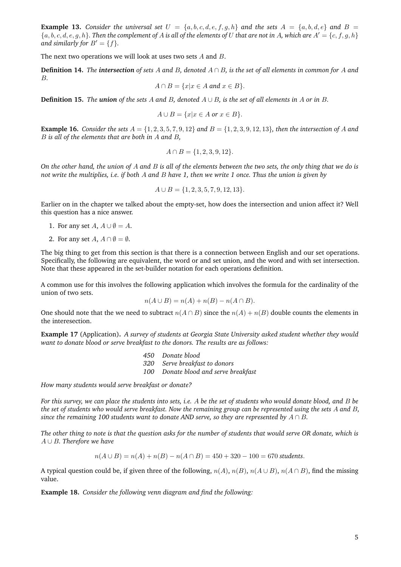**Example 13.** *Consider the universal set*  $U = \{a, b, c, d, e, f, g, h\}$  *and the sets*  $A = \{a, b, d, e\}$  *and*  $B =$  ${a, b, c, d, e, g, h}$ *. Then the complement of A is all of the elements of U that are not in A, which are*  $A' = {c, f, g, h}$ *and similarly for*  $B' = \{f\}$ *.* 

The next two operations we will look at uses two sets A and B.

**Definition 14.** *The intersection of sets* A and B, denoted  $A \cap B$ , is the set of all elements in common for A and B*.*

$$
A \cap B = \{x | x \in A \text{ and } x \in B\}.
$$

**Definition 15.** *The union of the sets* A and B, denoted  $A \cup B$ , is the set of all elements in A or in B.

$$
A \cup B = \{x | x \in A \text{ or } x \in B\}.
$$

**Example 16.** *Consider the sets*  $A = \{1, 2, 3, 5, 7, 9, 12\}$  *and*  $B = \{1, 2, 3, 9, 12, 13\}$ *, then the intersection of* A *and* B *is all of the elements that are both in* A *and* B*,*

$$
A \cap B = \{1, 2, 3, 9, 12\}.
$$

*On the other hand, the union of* A *and* B *is all of the elements between the two sets, the only thing that we do is not write the multiplies, i.e. if both* A *and* B *have 1, then we write 1 once. Thus the union is given by*

$$
A \cup B = \{1, 2, 3, 5, 7, 9, 12, 13\}.
$$

Earlier on in the chapter we talked about the empty-set, how does the intersection and union affect it? Well this question has a nice answer.

- 1. For any set  $A, A \cup \emptyset = A$ .
- 2. For any set  $A, A \cap \emptyset = \emptyset$ .

The big thing to get from this section is that there is a connection between English and our set operations. Specifically, the following are equivalent, the word or and set union, and the word and with set intersection. Note that these appeared in the set-builder notation for each operations definition.

A common use for this involves the following application which involves the formula for the cardinality of the union of two sets.

$$
n(A \cup B) = n(A) + n(B) - n(A \cap B).
$$

One should note that the we need to subtract  $n(A \cap B)$  since the  $n(A) + n(B)$  double counts the elements in the interesection.

**Example 17** (Application)**.** *A survey of students at Georgia State University asked student whether they would want to donate blood or serve breakfast to the donors. The results are as follows:*

- *450 Donate blood*
- *320 Serve breakfast to donors*
- *100 Donate blood and serve breakfast*

*How many students would serve breakfast or donate?*

*For this survey, we can place the students into sets, i.e.* A *be the set of students who would donate blood, and* B *be the set of students who would serve breakfast. Now the remaining group can be represented using the sets* A *and* B*, since the remaining 100 students want to donate AND serve, so they are represented by*  $A \cap B$ .

*The other thing to note is that the question asks for the number of students that would serve OR donate, which is* A ∪ B*. Therefore we have*

$$
n(A \cup B) = n(A) + n(B) - n(A \cap B) = 450 + 320 - 100 = 670
$$
 students.

A typical question could be, if given three of the following,  $n(A)$ ,  $n(B)$ ,  $n(A \cup B)$ ,  $n(A \cap B)$ , find the missing value.

**Example 18.** *Consider the following venn diagram and find the following:*